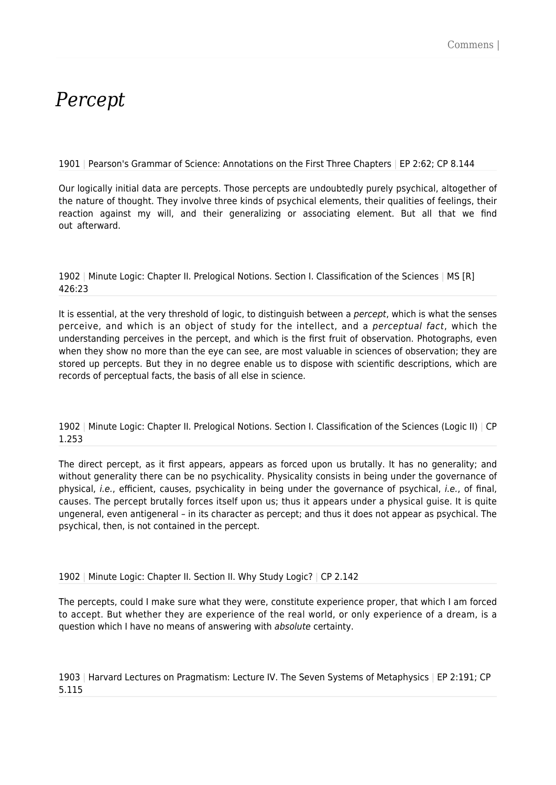# *Percept*

1901 | Pearson's Grammar of Science: Annotations on the First Three Chapters | EP 2:62; CP 8.144

Our logically initial data are percepts. Those percepts are undoubtedly purely psychical, altogether of the nature of thought. They involve three kinds of psychical elements, their qualities of feelings, their reaction against my will, and their generalizing or associating element. But all that we find out afterward.

1902 | Minute Logic: Chapter II. Prelogical Notions. Section I. Classification of the Sciences | MS [R] 426:23

It is essential, at the very threshold of logic, to distinguish between a *percept*, which is what the senses perceive, and which is an object of study for the intellect, and a perceptual fact, which the understanding perceives in the percept, and which is the first fruit of observation. Photographs, even when they show no more than the eye can see, are most valuable in sciences of observation; they are stored up percepts. But they in no degree enable us to dispose with scientific descriptions, which are records of perceptual facts, the basis of all else in science.

1902 | Minute Logic: Chapter II. Prelogical Notions. Section I. Classification of the Sciences (Logic II) | CP 1.253

The direct percept, as it first appears, appears as forced upon us brutally. It has no generality; and without generality there can be no psychicality. Physicality consists in being under the governance of physical, i.e., efficient, causes, psychicality in being under the governance of psychical, i.e., of final, causes. The percept brutally forces itself upon us; thus it appears under a physical guise. It is quite ungeneral, even antigeneral – in its character as percept; and thus it does not appear as psychical. The psychical, then, is not contained in the percept.

1902 | Minute Logic: Chapter II. Section II. Why Study Logic? | CP 2.142

The percepts, could I make sure what they were, constitute experience proper, that which I am forced to accept. But whether they are experience of the real world, or only experience of a dream, is a question which I have no means of answering with absolute certainty.

1903 | Harvard Lectures on Pragmatism: Lecture IV. The Seven Systems of Metaphysics | EP 2:191; CP 5.115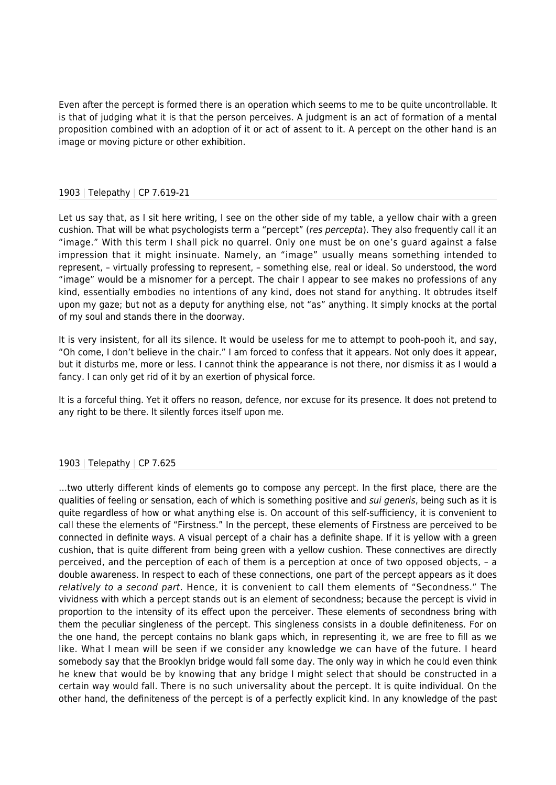Even after the percept is formed there is an operation which seems to me to be quite uncontrollable. It is that of judging what it is that the person perceives. A judgment is an act of formation of a mental proposition combined with an adoption of it or act of assent to it. A percept on the other hand is an image or moving picture or other exhibition.

#### 1903 | Telepathy | CP 7.619-21

Let us say that, as I sit here writing, I see on the other side of my table, a yellow chair with a green cushion. That will be what psychologists term a "percept" (res percepta). They also frequently call it an "image." With this term I shall pick no quarrel. Only one must be on one's guard against a false impression that it might insinuate. Namely, an "image" usually means something intended to represent, – virtually professing to represent, – something else, real or ideal. So understood, the word "image" would be a misnomer for a percept. The chair I appear to see makes no professions of any kind, essentially embodies no intentions of any kind, does not stand for anything. It obtrudes itself upon my gaze; but not as a deputy for anything else, not "as" anything. It simply knocks at the portal of my soul and stands there in the doorway.

It is very insistent, for all its silence. It would be useless for me to attempt to pooh-pooh it, and say, "Oh come, I don't believe in the chair." I am forced to confess that it appears. Not only does it appear, but it disturbs me, more or less. I cannot think the appearance is not there, nor dismiss it as I would a fancy. I can only get rid of it by an exertion of physical force.

It is a forceful thing. Yet it offers no reason, defence, nor excuse for its presence. It does not pretend to any right to be there. It silently forces itself upon me.

### 1903 | Telepathy | CP 7.625

…two utterly different kinds of elements go to compose any percept. In the first place, there are the qualities of feeling or sensation, each of which is something positive and sui generis, being such as it is quite regardless of how or what anything else is. On account of this self-sufficiency, it is convenient to call these the elements of "Firstness." In the percept, these elements of Firstness are perceived to be connected in definite ways. A visual percept of a chair has a definite shape. If it is yellow with a green cushion, that is quite different from being green with a yellow cushion. These connectives are directly perceived, and the perception of each of them is a perception at once of two opposed objects, – a double awareness. In respect to each of these connections, one part of the percept appears as it does relatively to a second part. Hence, it is convenient to call them elements of "Secondness." The vividness with which a percept stands out is an element of secondness; because the percept is vivid in proportion to the intensity of its effect upon the perceiver. These elements of secondness bring with them the peculiar singleness of the percept. This singleness consists in a double definiteness. For on the one hand, the percept contains no blank gaps which, in representing it, we are free to fill as we like. What I mean will be seen if we consider any knowledge we can have of the future. I heard somebody say that the Brooklyn bridge would fall some day. The only way in which he could even think he knew that would be by knowing that any bridge I might select that should be constructed in a certain way would fall. There is no such universality about the percept. It is quite individual. On the other hand, the definiteness of the percept is of a perfectly explicit kind. In any knowledge of the past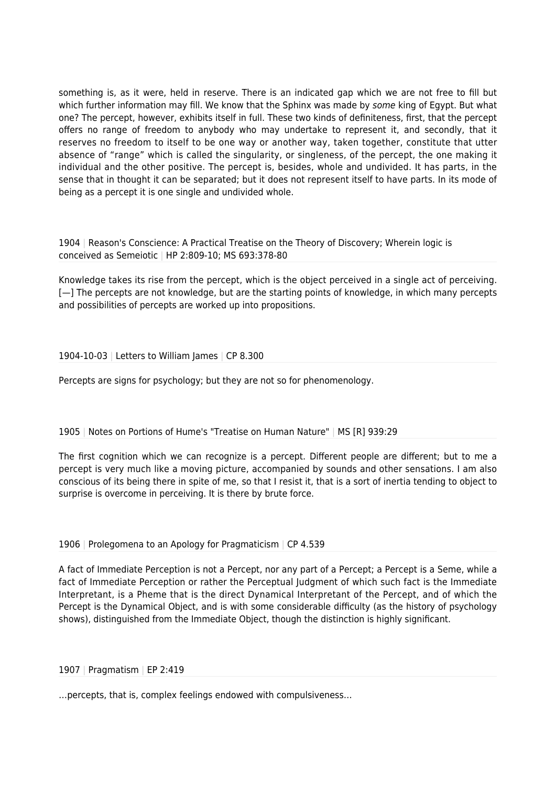something is, as it were, held in reserve. There is an indicated gap which we are not free to fill but which further information may fill. We know that the Sphinx was made by some king of Egypt. But what one? The percept, however, exhibits itself in full. These two kinds of definiteness, first, that the percept offers no range of freedom to anybody who may undertake to represent it, and secondly, that it reserves no freedom to itself to be one way or another way, taken together, constitute that utter absence of "range" which is called the singularity, or singleness, of the percept, the one making it individual and the other positive. The percept is, besides, whole and undivided. It has parts, in the sense that in thought it can be separated; but it does not represent itself to have parts. In its mode of being as a percept it is one single and undivided whole.

1904 | Reason's Conscience: A Practical Treatise on the Theory of Discovery; Wherein logic is conceived as Semeiotic | HP 2:809-10; MS 693:378-80

Knowledge takes its rise from the percept, which is the object perceived in a single act of perceiving. [—] The percepts are not knowledge, but are the starting points of knowledge, in which many percepts and possibilities of percepts are worked up into propositions.

### 1904-10-03 | Letters to William James | CP 8.300

Percepts are signs for psychology; but they are not so for phenomenology.

1905 | Notes on Portions of Hume's "Treatise on Human Nature" | MS [R] 939:29

The first cognition which we can recognize is a percept. Different people are different; but to me a percept is very much like a moving picture, accompanied by sounds and other sensations. I am also conscious of its being there in spite of me, so that I resist it, that is a sort of inertia tending to object to surprise is overcome in perceiving. It is there by brute force.

### 1906 | Prolegomena to an Apology for Pragmaticism | CP 4.539

A fact of Immediate Perception is not a Percept, nor any part of a Percept; a Percept is a Seme, while a fact of Immediate Perception or rather the Perceptual Judgment of which such fact is the Immediate Interpretant, is a Pheme that is the direct Dynamical Interpretant of the Percept, and of which the Percept is the Dynamical Object, and is with some considerable difficulty (as the history of psychology shows), distinguished from the Immediate Object, though the distinction is highly significant.

#### 1907 | Pragmatism | EP 2:419

…percepts, that is, complex feelings endowed with compulsiveness…